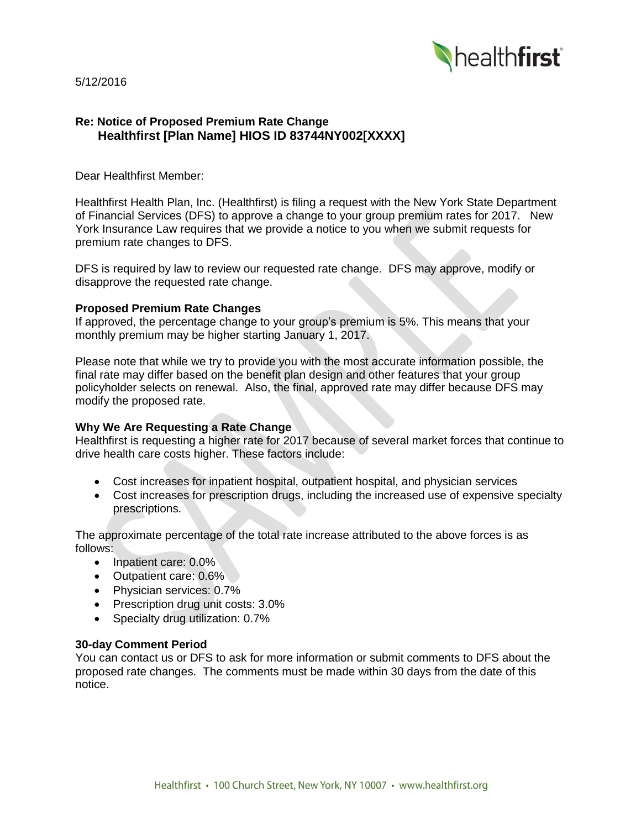

5/12/2016

# **Re: Notice of Proposed Premium Rate Change Healthfirst [Plan Name] HIOS ID 83744NY002[XXXX]**

Dear Healthfirst Member:

Healthfirst Health Plan, Inc. (Healthfirst) is filing a request with the New York State Department of Financial Services (DFS) to approve a change to your group premium rates for 2017. New York Insurance Law requires that we provide a notice to you when we submit requests for premium rate changes to DFS.

DFS is required by law to review our requested rate change. DFS may approve, modify or disapprove the requested rate change.

#### **Proposed Premium Rate Changes**

If approved, the percentage change to your group's premium is 5%. This means that your monthly premium may be higher starting January 1, 2017.

Please note that while we try to provide you with the most accurate information possible, the final rate may differ based on the benefit plan design and other features that your group policyholder selects on renewal. Also, the final, approved rate may differ because DFS may modify the proposed rate.

#### **Why We Are Requesting a Rate Change**

Healthfirst is requesting a higher rate for 2017 because of several market forces that continue to drive health care costs higher. These factors include:

- Cost increases for inpatient hospital, outpatient hospital, and physician services
- Cost increases for prescription drugs, including the increased use of expensive specialty prescriptions.

The approximate percentage of the total rate increase attributed to the above forces is as follows:

- Inpatient care: 0.0%
- Outpatient care: 0.6%
- Physician services: 0.7%
- Prescription drug unit costs: 3.0%
- Specialty drug utilization: 0.7%

#### **30-day Comment Period**

You can contact us or DFS to ask for more information or submit comments to DFS about the proposed rate changes. The comments must be made within 30 days from the date of this notice.